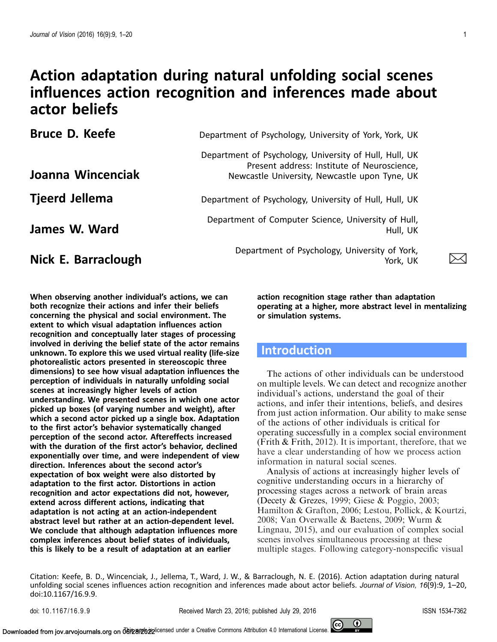# Action adaptation during natural unfolding social scenes influences action recognition and inferences made about actor beliefs

**Bruce D. Keefe** Department of Psychology, University of York, York, UK Joanna Wincenciak Department of Psychology, University of Hull, Hull, UK Present address: Institute of Neuroscience, Newcastle University, Newcastle upon Tyne, UK **Tjeerd Jellema** Department of Psychology, University of Hull, Hull, UK Department of Computer Science, University of Hull,<br>Hull LIK Hull, UK **Nick E. Barraclough 1998** Department of Psychology, University of York, The **Department** of Psychology, University of York, UK York, UK

When observing another individual's actions, we can both recognize their actions and infer their beliefs concerning the physical and social environment. The extent to which visual adaptation influences action recognition and conceptually later stages of processing involved in deriving the belief state of the actor remains unknown. To explore this we used virtual reality (life-size photorealistic actors presented in stereoscopic three dimensions) to see how visual adaptation influences the perception of individuals in naturally unfolding social

scenes at increasingly higher levels of action

direction. Inferences about the second actor's expectation of box weight were also distorted by adaptation to the first actor. Distortions in action recognition and actor expectations did not, however, extend across different actions, indicating that adaptation is not acting at an action-independent abstract level but rather at an action-dependent level. We conclude that although adaptation influences more complex inferences about belief states of individuals, this is likely to be a result of adaptation at an earlier

understanding. We presented scenes in which one actor picked up boxes (of varying number and weight), after which a second actor picked up a single box. Adaptation to the first actor's behavior systematically changed perception of the second actor. Aftereffects increased with the duration of the first actor's behavior, declined exponentially over time, and were independent of view

action recognition stage rather than adaptation operating at a higher, more abstract level in mentalizing or simulation systems.

# **Introduction**

The actions of other individuals can be understood on multiple levels. We can detect and recognize another individual's actions, understand the goal of their actions, and infer their intentions, beliefs, and desires from just action information. Our ability to make sense of the actions of other individuals is critical for operating successfully in a complex social environment (Frith & Frith, [2012](#page-17-0)). It is important, therefore, that we have a clear understanding of how we process action information in natural social scenes.

Analysis of actions at increasingly higher levels of cognitive understanding occurs in a hierarchy of processing stages across a network of brain areas (Decety & Grezes, [1999](#page-17-0); Giese & Poggio, [2003](#page-17-0); Hamilton & Grafton, [2006](#page-17-0); Lestou, Pollick, & Kourtzi, [2008;](#page-18-0) Van Overwalle & Baetens, [2009;](#page-19-0) Wurm & Lingnau, [2015\)](#page-19-0), and our evaluation of complex social scenes involves simultaneous processing at these multiple stages. Following category-nonspecific visual

 $\bigcirc$ 

Citation: Keefe, B. D., Wincenciak, J., Jellema, T., Ward, J. W., & Barraclough, N. E. (2016). Action adaptation during natural unfolding social scenes influences action recognition and inferences made about actor beliefs. Journal of Vision, 16(9):9, 1–20, doi:10.1167/16.9.9.

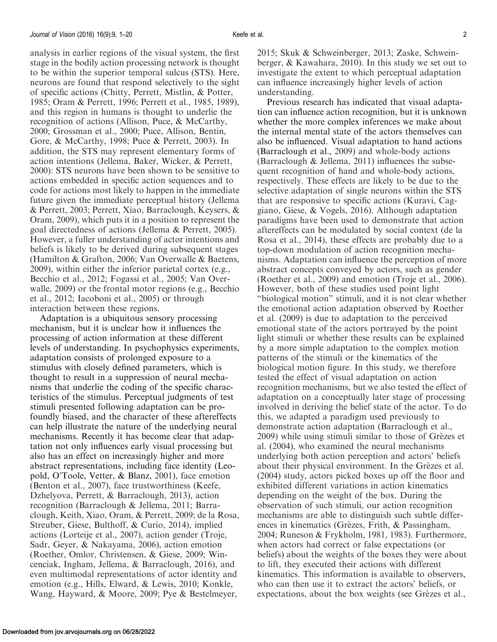analysis in earlier regions of the visual system, the first stage in the bodily action processing network is thought to be within the superior temporal sulcus (STS). Here, neurons are found that respond selectively to the sight of specific actions (Chitty, Perrett, Mistlin, & Potter, [1985;](#page-17-0) Oram & Perrett, [1996](#page-18-0); Perrett et al., [1985](#page-18-0), [1989](#page-18-0)), and this region in humans is thought to underlie the recognition of actions (Allison, Puce, & McCarthy, [2000;](#page-16-0) Grossman et al., [2000](#page-17-0); Puce, Allison, Bentin, Gore, & McCarthy, [1998;](#page-19-0) Puce & Perrett, [2003\)](#page-19-0). In addition, the STS may represent elementary forms of action intentions (Jellema, Baker, Wicker, & Perrett, [2000\)](#page-18-0): STS neurons have been shown to be sensitive to actions embedded in specific action sequences and to code for actions most likely to happen in the immediate future given the immediate perceptual history (Jellema & Perrett, [2003;](#page-18-0) Perrett, Xiao, Barraclough, Keysers, & Oram, [2009\)](#page-19-0), which puts it in a position to represent the goal directedness of actions (Jellema & Perrett, [2005\)](#page-18-0). However, a fuller understanding of actor intentions and beliefs is likely to be derived during subsequent stages (Hamilton & Grafton, [2006](#page-17-0); Van Overwalle & Baetens, [2009\)](#page-19-0), within either the inferior parietal cortex (e.g., Becchio et al., [2012](#page-16-0); Fogassi et al., [2005](#page-17-0); Van Overwalle, [2009](#page-19-0)) or the frontal motor regions (e.g., Becchio et al., [2012](#page-16-0); Iacoboni et al., [2005\)](#page-18-0) or through interaction between these regions.

Adaptation is a ubiquitous sensory processing mechanism, but it is unclear how it influences the processing of action information at these different levels of understanding. In psychophysics experiments, adaptation consists of prolonged exposure to a stimulus with closely defined parameters, which is thought to result in a suppression of neural mechanisms that underlie the coding of the specific characteristics of the stimulus. Perceptual judgments of test stimuli presented following adaptation can be profoundly biased, and the character of these aftereffects can help illustrate the nature of the underlying neural mechanisms. Recently it has become clear that adaptation not only influences early visual processing but also has an effect on increasingly higher and more abstract representations, including face identity (Leopold, O'Toole, Vetter, & Blanz, [2001\)](#page-18-0), face emotion (Benton et al., [2007](#page-17-0)), face trustworthiness (Keefe, Dzhelyova, Perrett, & Barraclough, [2013\)](#page-18-0), action recognition (Barraclough & Jellema, [2011](#page-16-0); Barraclough, Keith, Xiao, Oram, & Perrett, [2009;](#page-16-0) de la Rosa, Streuber, Giese, Bulthoff, & Curio, [2014](#page-17-0)), implied actions (Lorteije et al., [2007\)](#page-18-0), action gender (Troje, Sadr, Geyer, & Nakayama, [2006](#page-19-0)), action emotion (Roether, Omlor, Christensen, & Giese, [2009](#page-19-0); Wincenciak, Ingham, Jellema, & Barraclough, [2016](#page-19-0)), and even multimodal representations of actor identity and emotion (e.g., Hills, Elward, & Lewis, [2010;](#page-18-0) Konkle, Wang, Hayward, & Moore, [2009](#page-18-0); Pye & Bestelmeyer,

[2015;](#page-19-0) Skuk & Schweinberger, [2013;](#page-19-0) Zaske, Schweinberger, & Kawahara, [2010\)](#page-19-0). In this study we set out to investigate the extent to which perceptual adaptation can influence increasingly higher levels of action understanding.

Previous research has indicated that visual adaptation can influence action recognition, but it is unknown whether the more complex inferences we make about the internal mental state of the actors themselves can also be influenced. Visual adaptation to hand actions (Barraclough et al., [2009](#page-16-0)) and whole-body actions (Barraclough & Jellema, [2011\)](#page-16-0) influences the subsequent recognition of hand and whole-body actions, respectively. These effects are likely to be due to the selective adaptation of single neurons within the STS that are responsive to specific actions (Kuravi, Caggiano, Giese, & Vogels, [2016\)](#page-18-0). Although adaptation paradigms have been used to demonstrate that action aftereffects can be modulated by social context (de la Rosa et al., [2014\)](#page-17-0), these effects are probably due to a top-down modulation of action recognition mechanisms. Adaptation can influence the perception of more abstract concepts conveyed by actors, such as gender (Roether et al., [2009\)](#page-19-0) and emotion (Troje et al., [2006](#page-19-0)). However, both of these studies used point light ''biological motion'' stimuli, and it is not clear whether the emotional action adaptation observed by Roether et al. ([2009\)](#page-19-0) is due to adaptation to the perceived emotional state of the actors portrayed by the point light stimuli or whether these results can be explained by a more simple adaptation to the complex motion patterns of the stimuli or the kinematics of the biological motion figure. In this study, we therefore tested the effect of visual adaptation on action recognition mechanisms, but we also tested the effect of adaptation on a conceptually later stage of processing involved in deriving the belief state of the actor. To do this, we adapted a paradigm used previously to demonstrate action adaptation (Barraclough et al., [2009\)](#page-16-0) while using stimuli similar to those of Grèzes et al. ([2004\)](#page-17-0), who examined the neural mechanisms underlying both action perception and actors' beliefs about their physical environment. In the Grèzes et al. ([2004](#page-17-0)) study, actors picked boxes up off the floor and exhibited different variations in action kinematics depending on the weight of the box. During the observation of such stimuli, our action recognition mechanisms are able to distinguish such subtle differences in kinematics (Grèzes, Frith, & Passingham, [2004;](#page-17-0) Runeson & Frykholm, [1981, 1983](#page-19-0)). Furthermore, when actors had correct or false expectations (or beliefs) about the weights of the boxes they were about to lift, they executed their actions with different kinematics. This information is available to observers, who can then use it to extract the actors' beliefs, or expectations, about the box weights (see Grèzes et al.,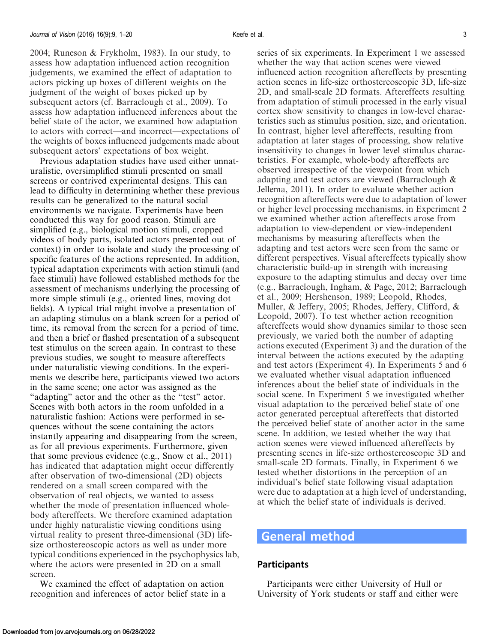[2004;](#page-17-0) Runeson & Frykholm, [1983](#page-19-0)). In our study, to assess how adaptation influenced action recognition judgements, we examined the effect of adaptation to actors picking up boxes of different weights on the judgment of the weight of boxes picked up by subsequent actors (cf. Barraclough et al., [2009\)](#page-16-0). To assess how adaptation influenced inferences about the belief state of the actor, we examined how adaptation to actors with correct—and incorrect—expectations of the weights of boxes influenced judgements made about subsequent actors' expectations of box weight.

Previous adaptation studies have used either unnaturalistic, oversimplified stimuli presented on small screens or contrived experimental designs. This can lead to difficulty in determining whether these previous results can be generalized to the natural social environments we navigate. Experiments have been conducted this way for good reason. Stimuli are simplified (e.g., biological motion stimuli, cropped videos of body parts, isolated actors presented out of context) in order to isolate and study the processing of specific features of the actions represented. In addition, typical adaptation experiments with action stimuli (and face stimuli) have followed established methods for the assessment of mechanisms underlying the processing of more simple stimuli (e.g., oriented lines, moving dot fields). A typical trial might involve a presentation of an adapting stimulus on a blank screen for a period of time, its removal from the screen for a period of time, and then a brief or flashed presentation of a subsequent test stimulus on the screen again. In contrast to these previous studies, we sought to measure aftereffects under naturalistic viewing conditions. In the experiments we describe here, participants viewed two actors in the same scene; one actor was assigned as the "adapting" actor and the other as the "test" actor. Scenes with both actors in the room unfolded in a naturalistic fashion: Actions were performed in sequences without the scene containing the actors instantly appearing and disappearing from the screen, as for all previous experiments. Furthermore, given that some previous evidence (e.g., Snow et al., [2011](#page-19-0)) has indicated that adaptation might occur differently after observation of two-dimensional (2D) objects rendered on a small screen compared with the observation of real objects, we wanted to assess whether the mode of presentation influenced wholebody aftereffects. We therefore examined adaptation under highly naturalistic viewing conditions using virtual reality to present three-dimensional (3D) lifesize orthostereoscopic actors as well as under more typical conditions experienced in the psychophysics lab, where the actors were presented in 2D on a small screen.

We examined the effect of adaptation on action recognition and inferences of actor belief state in a series of six experiments. In [Experiment 1](#page-5-0) we assessed whether the way that action scenes were viewed influenced action recognition aftereffects by presenting action scenes in life-size orthostereoscopic 3D, life-size 2D, and small-scale 2D formats. Aftereffects resulting from adaptation of stimuli processed in the early visual cortex show sensitivity to changes in low-level characteristics such as stimulus position, size, and orientation. In contrast, higher level aftereffects, resulting from adaptation at later stages of processing, show relative insensitivity to changes in lower level stimulus characteristics. For example, whole-body aftereffects are observed irrespective of the viewpoint from which adapting and test actors are viewed (Barraclough & Jellema, [2011](#page-16-0)). In order to evaluate whether action recognition aftereffects were due to adaptation of lower or higher level processing mechanisms, in [Experiment 2](#page-6-0) we examined whether action aftereffects arose from adaptation to view-dependent or view-independent mechanisms by measuring aftereffects when the adapting and test actors were seen from the same or different perspectives. Visual aftereffects typically show characteristic build-up in strength with increasing exposure to the adapting stimulus and decay over time (e.g., Barraclough, Ingham, & Page, [2012;](#page-16-0) Barraclough et al., [2009;](#page-16-0) Hershenson, [1989](#page-17-0); Leopold, Rhodes, Muller, & Jeffery, [2005](#page-18-0); Rhodes, Jeffery, Clifford, & Leopold, [2007\)](#page-19-0). To test whether action recognition aftereffects would show dynamics similar to those seen previously, we varied both the number of adapting actions executed [\(Experiment 3\)](#page-8-0) and the duration of the interval between the actions executed by the adapting and test actors [\(Experiment 4](#page-9-0)). In [Experiments 5](#page-10-0) and [6](#page-12-0) we evaluated whether visual adaptation influenced inferences about the belief state of individuals in the social scene. In [Experiment 5](#page-10-0) we investigated whether visual adaptation to the perceived belief state of one actor generated perceptual aftereffects that distorted the perceived belief state of another actor in the same scene. In addition, we tested whether the way that action scenes were viewed influenced aftereffects by presenting scenes in life-size orthostereoscopic 3D and small-scale 2D formats. Finally, in [Experiment 6](#page-12-0) we tested whether distortions in the perception of an individual's belief state following visual adaptation were due to adaptation at a high level of understanding, at which the belief state of individuals is derived.

# General method

### Participants

Participants were either University of Hull or University of York students or staff and either were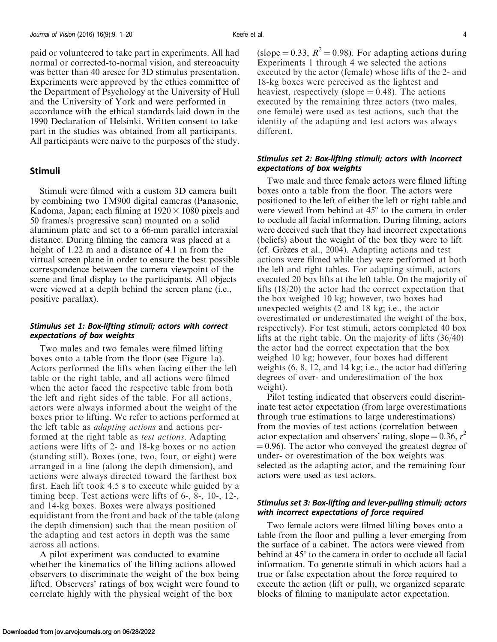paid or volunteered to take part in experiments. All had normal or corrected-to-normal vision, and stereoacuity was better than 40 arcsec for 3D stimulus presentation. Experiments were approved by the ethics committee of the Department of Psychology at the University of Hull and the University of York and were performed in accordance with the ethical standards laid down in the 1990 Declaration of Helsinki. Written consent to take part in the studies was obtained from all participants. All participants were naive to the purposes of the study.

#### Stimuli

Stimuli were filmed with a custom 3D camera built by combining two TM900 digital cameras (Panasonic, Kadoma, Japan; each filming at  $1920 \times 1080$  pixels and 50 frames/s progressive scan) mounted on a solid aluminum plate and set to a 66-mm parallel interaxial distance. During filming the camera was placed at a height of 1.22 m and a distance of 4.1 m from the virtual screen plane in order to ensure the best possible correspondence between the camera viewpoint of the scene and final display to the participants. All objects were viewed at a depth behind the screen plane (i.e., positive parallax).

# Stimulus set 1: Box-lifting stimuli; actors with correct expectations of box weights

Two males and two females were filmed lifting boxes onto a table from the floor (see [Figure 1a\)](#page-4-0). Actors performed the lifts when facing either the left table or the right table, and all actions were filmed when the actor faced the respective table from both the left and right sides of the table. For all actions, actors were always informed about the weight of the boxes prior to lifting. We refer to actions performed at the left table as adapting actions and actions performed at the right table as test actions. Adapting actions were lifts of 2- and 18-kg boxes or no action (standing still). Boxes (one, two, four, or eight) were arranged in a line (along the depth dimension), and actions were always directed toward the farthest box first. Each lift took 4.5 s to execute while guided by a timing beep. Test actions were lifts of 6-, 8-, 10-, 12-, and 14-kg boxes. Boxes were always positioned equidistant from the front and back of the table (along the depth dimension) such that the mean position of the adapting and test actors in depth was the same across all actions.

A pilot experiment was conducted to examine whether the kinematics of the lifting actions allowed observers to discriminate the weight of the box being lifted. Observers' ratings of box weight were found to correlate highly with the physical weight of the box

(slope = 0.33,  $R^2$  = 0.98). For adapting actions during [Experiments 1](#page-5-0) through [4](#page-9-0) we selected the actions executed by the actor (female) whose lifts of the 2- and 18-kg boxes were perceived as the lightest and heaviest, respectively (slope  $= 0.48$ ). The actions executed by the remaining three actors (two males, one female) were used as test actions, such that the identity of the adapting and test actors was always different.

#### Stimulus set 2: Box-lifting stimuli; actors with incorrect expectations of box weights

Two male and three female actors were filmed lifting boxes onto a table from the floor. The actors were positioned to the left of either the left or right table and were viewed from behind at  $45^{\circ}$  to the camera in order to occlude all facial information. During filming, actors were deceived such that they had incorrect expectations (beliefs) about the weight of the box they were to lift (cf. Grèzes et al., [2004](#page-17-0)). Adapting actions and test actions were filmed while they were performed at both the left and right tables. For adapting stimuli, actors executed 20 box lifts at the left table. On the majority of lifts (18/20) the actor had the correct expectation that the box weighed 10 kg; however, two boxes had unexpected weights (2 and 18 kg; i.e., the actor overestimated or underestimated the weight of the box, respectively). For test stimuli, actors completed 40 box lifts at the right table. On the majority of lifts (36/40) the actor had the correct expectation that the box weighed 10 kg; however, four boxes had different weights (6, 8, 12, and 14 kg; i.e., the actor had differing degrees of over- and underestimation of the box weight).

Pilot testing indicated that observers could discriminate test actor expectation (from large overestimations through true estimations to large underestimations) from the movies of test actions (correlation between actor expectation and observers' rating, slope =  $0.36$ ,  $r^2$  $(0.96)$ . The actor who conveyed the greatest degree of under- or overestimation of the box weights was selected as the adapting actor, and the remaining four actors were used as test actors.

#### Stimulus set 3: Box-lifting and lever-pulling stimuli; actors with incorrect expectations of force required

Two female actors were filmed lifting boxes onto a table from the floor and pulling a lever emerging from the surface of a cabinet. The actors were viewed from behind at  $45^{\circ}$  to the camera in order to occlude all facial information. To generate stimuli in which actors had a true or false expectation about the force required to execute the action (lift or pull), we organized separate blocks of filming to manipulate actor expectation.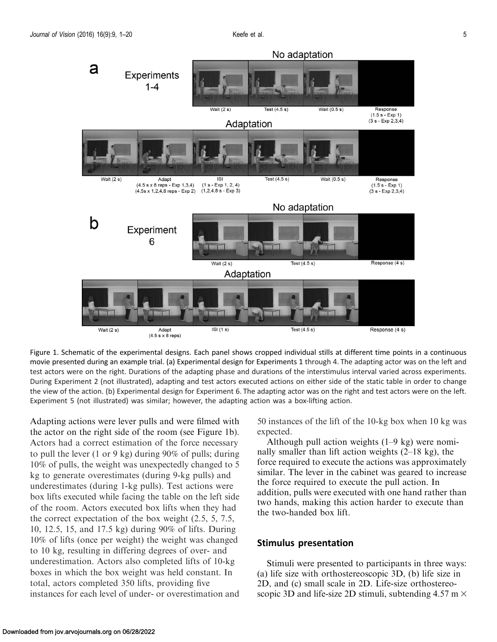<span id="page-4-0"></span>

Figure 1. Schematic of the experimental designs. Each panel shows cropped individual stills at different time points in a continuous movie presented during an example trial. (a) Experimental design for [Experiments 1](#page-5-0) through [4](#page-9-0). The adapting actor was on the left and test actors were on the right. Durations of the adapting phase and durations of the interstimulus interval varied across experiments. During [Experiment 2](#page-6-0) (not illustrated), adapting and test actors executed actions on either side of the static table in order to change the view of the action. (b) Experimental design for [Experiment 6](#page-12-0). The adapting actor was on the right and test actors were on the left. [Experiment 5](#page-10-0) (not illustrated) was similar; however, the adapting action was a box-lifting action.

Adapting actions were lever pulls and were filmed with the actor on the right side of the room (see Figure 1b). Actors had a correct estimation of the force necessary to pull the lever (1 or 9 kg) during 90% of pulls; during 10% of pulls, the weight was unexpectedly changed to 5 kg to generate overestimates (during 9-kg pulls) and underestimates (during 1-kg pulls). Test actions were box lifts executed while facing the table on the left side of the room. Actors executed box lifts when they had the correct expectation of the box weight (2.5, 5, 7.5, 10, 12.5, 15, and 17.5 kg) during 90% of lifts. During 10% of lifts (once per weight) the weight was changed to 10 kg, resulting in differing degrees of over- and underestimation. Actors also completed lifts of 10-kg boxes in which the box weight was held constant. In total, actors completed 350 lifts, providing five instances for each level of under- or overestimation and

50 instances of the lift of the 10-kg box when 10 kg was expected.

Although pull action weights (1–9 kg) were nominally smaller than lift action weights (2–18 kg), the force required to execute the actions was approximately similar. The lever in the cabinet was geared to increase the force required to execute the pull action. In addition, pulls were executed with one hand rather than two hands, making this action harder to execute than the two-handed box lift.

# Stimulus presentation

Stimuli were presented to participants in three ways: (a) life size with orthostereoscopic 3D, (b) life size in 2D, and (c) small scale in 2D. Life-size orthostereoscopic 3D and life-size 2D stimuli, subtending 4.57 m  $\times$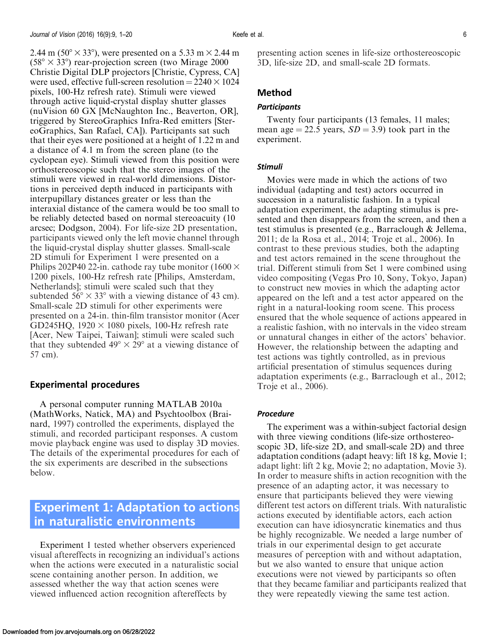<span id="page-5-0"></span>2.44 m ( $50^{\circ} \times 33^{\circ}$ ), were presented on a 5.33 m  $\times$  2.44 m  $(58^{\circ} \times 33^{\circ})$  rear-projection screen (two Mirage 2000 Christie Digital DLP projectors [Christie, Cypress, CA] were used, effective full-screen resolution =  $2240 \times 1024$ pixels, 100-Hz refresh rate). Stimuli were viewed through active liquid-crystal display shutter glasses (nuVision 60 GX [McNaughton Inc., Beaverton, OR], triggered by StereoGraphics Infra-Red emitters [StereoGraphics, San Rafael, CA]). Participants sat such that their eyes were positioned at a height of 1.22 m and a distance of 4.1 m from the screen plane (to the cyclopean eye). Stimuli viewed from this position were orthostereoscopic such that the stereo images of the stimuli were viewed in real-world dimensions. Distortions in perceived depth induced in participants with interpupillary distances greater or less than the interaxial distance of the camera would be too small to be reliably detected based on normal stereoacuity (10 arcsec; Dodgson, [2004](#page-17-0)). For life-size 2D presentation, participants viewed only the left movie channel through the liquid-crystal display shutter glasses. Small-scale 2D stimuli for Experiment 1 were presented on a Philips 202P40 22-in. cathode ray tube monitor (1600  $\times$ 1200 pixels, 100-Hz refresh rate [Philips, Amsterdam, Netherlands]; stimuli were scaled such that they subtended  $56^{\circ} \times 33^{\circ}$  with a viewing distance of 43 cm). Small-scale 2D stimuli for other experiments were presented on a 24-in. thin-film transistor monitor (Acer GD245HQ,  $1920 \times 1080$  pixels, 100-Hz refresh rate [Acer, New Taipei, Taiwan]; stimuli were scaled such that they subtended  $49^{\circ} \times 29^{\circ}$  at a viewing distance of 57 cm).

### Experimental procedures

A personal computer running MATLAB 2010a (MathWorks, Natick, MA) and Psychtoolbox (Brainard, [1997](#page-17-0)) controlled the experiments, displayed the stimuli, and recorded participant responses. A custom movie playback engine was used to display 3D movies. The details of the experimental procedures for each of the six experiments are described in the subsections below.

# Experiment 1: Adaptation to actions in naturalistic environments

Experiment 1 tested whether observers experienced visual aftereffects in recognizing an individual's actions when the actions were executed in a naturalistic social scene containing another person. In addition, we assessed whether the way that action scenes were viewed influenced action recognition aftereffects by

presenting action scenes in life-size orthostereoscopic 3D, life-size 2D, and small-scale 2D formats.

# Method

#### **Participants**

Twenty four participants (13 females, 11 males; mean age = 22.5 years,  $SD = 3.9$ ) took part in the experiment.

#### Stimuli

Movies were made in which the actions of two individual (adapting and test) actors occurred in succession in a naturalistic fashion. In a typical adaptation experiment, the adapting stimulus is presented and then disappears from the screen, and then a test stimulus is presented (e.g., Barraclough & Jellema, [2011;](#page-16-0) de la Rosa et al., [2014;](#page-17-0) Troje et al., [2006](#page-19-0)). In contrast to these previous studies, both the adapting and test actors remained in the scene throughout the trial. Different stimuli from Set 1 were combined using video compositing (Vegas Pro 10, Sony, Tokyo, Japan) to construct new movies in which the adapting actor appeared on the left and a test actor appeared on the right in a natural-looking room scene. This process ensured that the whole sequence of actions appeared in a realistic fashion, with no intervals in the video stream or unnatural changes in either of the actors' behavior. However, the relationship between the adapting and test actions was tightly controlled, as in previous artificial presentation of stimulus sequences during adaptation experiments (e.g., Barraclough et al., [2012](#page-16-0); Troje et al., [2006\)](#page-19-0).

#### Procedure

The experiment was a within-subject factorial design with three viewing conditions (life-size orthostereoscopic 3D, life-size 2D, and small-scale 2D) and three adaptation conditions (adapt heavy: lift 18 kg, [Movie 1](http://jov.arvojournals.org/data/Journals/JOV/935414/i1534-7362-16-9-9-S02.mov); adapt light: lift 2 kg, [Movie 2;](http://jov.arvojournals.org/data/Journals/JOV/935414/i1534-7362-16-9-9-S03.mov) no adaptation, [Movie 3](http://jov.arvojournals.org/data/Journals/JOV/935414/i1534-7362-16-9-9-S04.mov)). In order to measure shifts in action recognition with the presence of an adapting actor, it was necessary to ensure that participants believed they were viewing different test actors on different trials. With naturalistic actions executed by identifiable actors, each action execution can have idiosyncratic kinematics and thus be highly recognizable. We needed a large number of trials in our experimental design to get accurate measures of perception with and without adaptation, but we also wanted to ensure that unique action executions were not viewed by participants so often that they became familiar and participants realized that they were repeatedly viewing the same test action.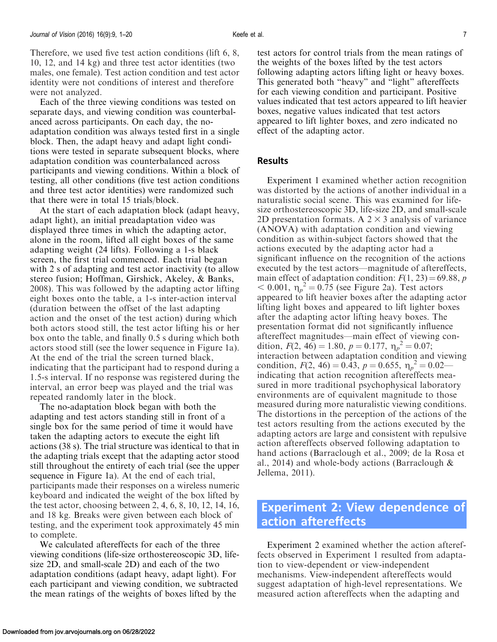<span id="page-6-0"></span>Therefore, we used five test action conditions (lift 6, 8, 10, 12, and 14 kg) and three test actor identities (two males, one female). Test action condition and test actor identity were not conditions of interest and therefore were not analyzed.

Each of the three viewing conditions was tested on separate days, and viewing condition was counterbalanced across participants. On each day, the noadaptation condition was always tested first in a single block. Then, the adapt heavy and adapt light conditions were tested in separate subsequent blocks, where adaptation condition was counterbalanced across participants and viewing conditions. Within a block of testing, all other conditions (five test action conditions and three test actor identities) were randomized such that there were in total 15 trials/block.

At the start of each adaptation block (adapt heavy, adapt light), an initial preadaptation video was displayed three times in which the adapting actor, alone in the room, lifted all eight boxes of the same adapting weight (24 lifts). Following a 1-s black screen, the first trial commenced. Each trial began with 2 s of adapting and test actor inactivity (to allow stereo fusion; Hoffman, Girshick, Akeley, & Banks, [2008](#page-18-0)). This was followed by the adapting actor lifting eight boxes onto the table, a 1-s inter-action interval (duration between the offset of the last adapting action and the onset of the test action) during which both actors stood still, the test actor lifting his or her box onto the table, and finally 0.5 s during which both actors stood still (see the lower sequence in [Figure 1a](#page-4-0)). At the end of the trial the screen turned black, indicating that the participant had to respond during a 1.5-s interval. If no response was registered during the interval, an error beep was played and the trial was repeated randomly later in the block.

The no-adaptation block began with both the adapting and test actors standing still in front of a single box for the same period of time it would have taken the adapting actors to execute the eight lift actions (38 s). The trial structure was identical to that in the adapting trials except that the adapting actor stood still throughout the entirety of each trial (see the upper sequence in [Figure 1a](#page-4-0)). At the end of each trial, participants made their responses on a wireless numeric keyboard and indicated the weight of the box lifted by the test actor, choosing between 2, 4, 6, 8, 10, 12, 14, 16, and 18 kg. Breaks were given between each block of testing, and the experiment took approximately 45 min to complete.

We calculated aftereffects for each of the three viewing conditions (life-size orthostereoscopic 3D, lifesize 2D, and small-scale 2D) and each of the two adaptation conditions (adapt heavy, adapt light). For each participant and viewing condition, we subtracted the mean ratings of the weights of boxes lifted by the

test actors for control trials from the mean ratings of the weights of the boxes lifted by the test actors following adapting actors lifting light or heavy boxes. This generated both ''heavy'' and ''light'' aftereffects for each viewing condition and participant. Positive values indicated that test actors appeared to lift heavier boxes, negative values indicated that test actors appeared to lift lighter boxes, and zero indicated no effect of the adapting actor.

# Results

[Experiment 1](#page-5-0) examined whether action recognition was distorted by the actions of another individual in a naturalistic social scene. This was examined for lifesize orthostereoscopic 3D, life-size 2D, and small-scale 2D presentation formats. A  $2 \times 3$  analysis of variance (ANOVA) with adaptation condition and viewing condition as within-subject factors showed that the actions executed by the adapting actor had a significant influence on the recognition of the actions executed by the test actors—magnitude of aftereffects, main effect of adaptation condition:  $F(1, 23) = 69.88$ , p  $< 0.001$ ,  $\eta_p^2 = 0.75$  (see [Figure 2a](#page-7-0)). Test actors appeared to lift heavier boxes after the adapting actor lifting light boxes and appeared to lift lighter boxes after the adapting actor lifting heavy boxes. The presentation format did not significantly influence aftereffect magnitudes—main effect of viewing condition,  $F(2, 46) = 1.80$ ,  $p = 0.177$ ,  $\eta_p^2 = 0.07$ ; interaction between adaptation condition and viewing condition,  $F(2, 46) = 0.\overline{43}$ ,  $p = 0.655$ ,  $\eta_p^2 = 0.02$  indicating that action recognition aftereffects measured in more traditional psychophysical laboratory environments are of equivalent magnitude to those measured during more naturalistic viewing conditions. The distortions in the perception of the actions of the test actors resulting from the actions executed by the adapting actors are large and consistent with repulsive action aftereffects observed following adaptation to hand actions (Barraclough et al., [2009;](#page-16-0) de la Rosa et al., [2014\)](#page-17-0) and whole-body actions (Barraclough & Jellema, [2011\)](#page-16-0).

# Experiment 2: View dependence of action aftereffects

Experiment 2 examined whether the action aftereffects observed in [Experiment 1](#page-5-0) resulted from adaptation to view-dependent or view-independent mechanisms. View-independent aftereffects would suggest adaptation of high-level representations. We measured action aftereffects when the adapting and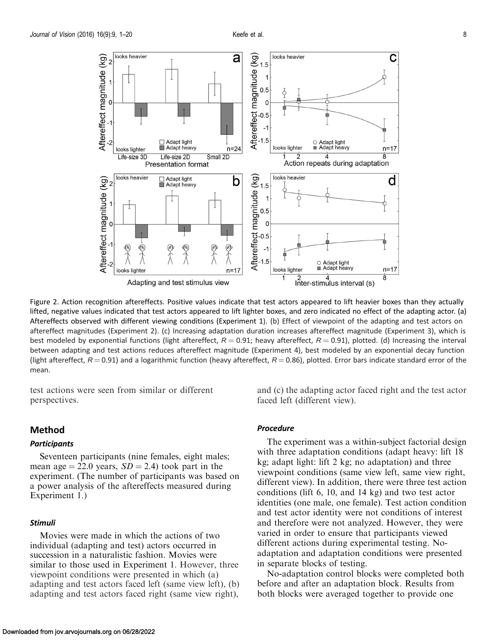<span id="page-7-0"></span>

Figure 2. Action recognition aftereffects. Positive values indicate that test actors appeared to lift heavier boxes than they actually lifted, negative values indicated that test actors appeared to lift lighter boxes, and zero indicated no effect of the adapting actor. (a) Aftereffects observed with different viewing conditions ([Experiment 1](#page-5-0)). (b) Effect of viewpoint of the adapting and test actors on aftereffect magnitudes [\(Experiment 2\)](#page-6-0). (c) Increasing adaptation duration increases aftereffect magnitude [\(Experiment 3\)](#page-8-0), which is best modeled by exponential functions (light aftereffect,  $R = 0.91$ ; heavy aftereffect,  $R = 0.91$ ), plotted. (d) Increasing the interval between adapting and test actions reduces aftereffect magnitude [\(Experiment 4\)](#page-9-0), best modeled by an exponential decay function (light aftereffect,  $R = 0.91$ ) and a logarithmic function (heavy aftereffect,  $R = 0.86$ ), plotted. Error bars indicate standard error of the mean.

test actions were seen from similar or different perspectives.

#### Method

### **Participants**

Seventeen participants (nine females, eight males; mean age  $= 22.0$  years,  $SD = 2.4$ ) took part in the experiment. (The number of participants was based on a power analysis of the aftereffects measured during [Experiment 1](#page-5-0).)

#### Stimuli

Movies were made in which the actions of two individual (adapting and test) actors occurred in succession in a naturalistic fashion. Movies were similar to those used in [Experiment 1.](#page-5-0) However, three viewpoint conditions were presented in which (a) adapting and test actors faced left (same view left), (b) adapting and test actors faced right (same view right),

and (c) the adapting actor faced right and the test actor faced left (different view).

#### Procedure

The experiment was a within-subject factorial design with three adaptation conditions (adapt heavy: lift 18) kg; adapt light: lift 2 kg; no adaptation) and three viewpoint conditions (same view left, same view right, different view). In addition, there were three test action conditions (lift 6, 10, and 14 kg) and two test actor identities (one male, one female). Test action condition and test actor identity were not conditions of interest and therefore were not analyzed. However, they were varied in order to ensure that participants viewed different actions during experimental testing. Noadaptation and adaptation conditions were presented in separate blocks of testing.

No-adaptation control blocks were completed both before and after an adaptation block. Results from both blocks were averaged together to provide one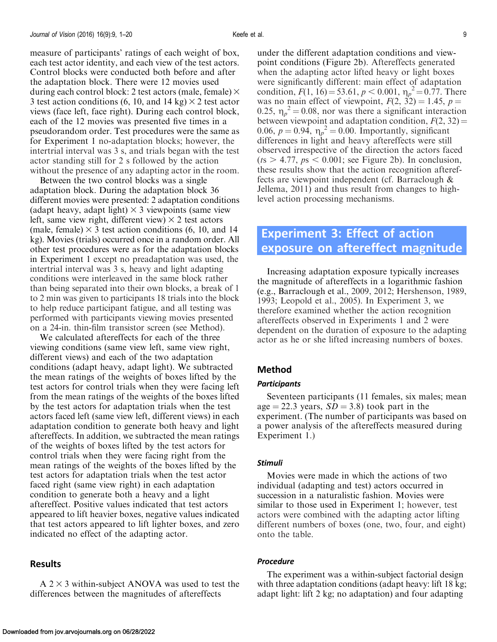<span id="page-8-0"></span>measure of participants' ratings of each weight of box, each test actor identity, and each view of the test actors. Control blocks were conducted both before and after the adaptation block. There were 12 movies used during each control block: 2 test actors (male, female)  $\times$ 3 test action conditions (6, 10, and 14 kg)  $\times$  2 test actor views (face left, face right). During each control block, each of the 12 movies was presented five times in a pseudorandom order. Test procedures were the same as for [Experiment 1](#page-5-0) no-adaptation blocks; however, the intertrial interval was 3 s, and trials began with the test actor standing still for 2 s followed by the action without the presence of any adapting actor in the room.

Between the two control blocks was a single adaptation block. During the adaptation block 36 different movies were presented: 2 adaptation conditions (adapt heavy, adapt light)  $\times$  3 viewpoints (same view left, same view right, different view)  $\times$  2 test actors (male, female)  $\times$  3 test action conditions (6, 10, and 14 kg). Movies (trials) occurred once in a random order. All other test procedures were as for the adaptation blocks in [Experiment 1](#page-5-0) except no preadaptation was used, the intertrial interval was 3 s, heavy and light adapting conditions were interleaved in the same block rather than being separated into their own blocks, a break of 1 to 2 min was given to participants 18 trials into the block to help reduce participant fatigue, and all testing was performed with participants viewing movies presented on a 24-in. thin-film transistor screen (see Method).

We calculated aftereffects for each of the three viewing conditions (same view left, same view right, different views) and each of the two adaptation conditions (adapt heavy, adapt light). We subtracted the mean ratings of the weights of boxes lifted by the test actors for control trials when they were facing left from the mean ratings of the weights of the boxes lifted by the test actors for adaptation trials when the test actors faced left (same view left, different views) in each adaptation condition to generate both heavy and light aftereffects. In addition, we subtracted the mean ratings of the weights of boxes lifted by the test actors for control trials when they were facing right from the mean ratings of the weights of the boxes lifted by the test actors for adaptation trials when the test actor faced right (same view right) in each adaptation condition to generate both a heavy and a light aftereffect. Positive values indicated that test actors appeared to lift heavier boxes, negative values indicated that test actors appeared to lift lighter boxes, and zero indicated no effect of the adapting actor.

### Results

A  $2 \times 3$  within-subject ANOVA was used to test the differences between the magnitudes of aftereffects

under the different adaptation conditions and viewpoint conditions [\(Figure 2b](#page-7-0)). Aftereffects generated when the adapting actor lifted heavy or light boxes were significantly different: main effect of adaptation condition,  $F(1, 16) = 53.61, p < 0.001, \eta_p^2 = 0.77$ . There was no main effect of viewpoint,  $F(2, 32) = 1.45$ ,  $p =$ 0.25,  $\eta_p^2 = 0.08$ , nor was there a significant interaction between viewpoint and adaptation condition,  $F(2, 32) =$ 0.06,  $p = 0.94$ ,  $\eta_p^2 = 0.00$ . Importantly, significant differences in light and heavy aftereffects were still observed irrespective of the direction the actors faced  $(ts > 4.77, ps < 0.001$ ; see [Figure 2b\)](#page-7-0). In conclusion, these results show that the action recognition aftereffects are viewpoint independent (cf. Barraclough & Jellema, [2011](#page-16-0)) and thus result from changes to highlevel action processing mechanisms.

# Experiment 3: Effect of action exposure on aftereffect magnitude

Increasing adaptation exposure typically increases the magnitude of aftereffects in a logarithmic fashion (e.g., Barraclough et al., [2009, 2012;](#page-16-0) Hershenson, [1989](#page-17-0), [1993;](#page-18-0) Leopold et al., [2005](#page-18-0)). In Experiment 3, we therefore examined whether the action recognition aftereffects observed in [Experiments 1](#page-5-0) and [2](#page-6-0) were dependent on the duration of exposure to the adapting actor as he or she lifted increasing numbers of boxes.

# Method

#### **Participants**

Seventeen participants (11 females, six males; mean age  $= 22.3$  years,  $SD = 3.8$ ) took part in the experiment. (The number of participants was based on a power analysis of the aftereffects measured during [Experiment 1.](#page-5-0))

### Stimuli

Movies were made in which the actions of two individual (adapting and test) actors occurred in succession in a naturalistic fashion. Movies were similar to those used in [Experiment 1;](#page-5-0) however, test actors were combined with the adapting actor lifting different numbers of boxes (one, two, four, and eight) onto the table.

#### Procedure

The experiment was a within-subject factorial design with three adaptation conditions (adapt heavy: lift 18 kg; adapt light: lift 2 kg; no adaptation) and four adapting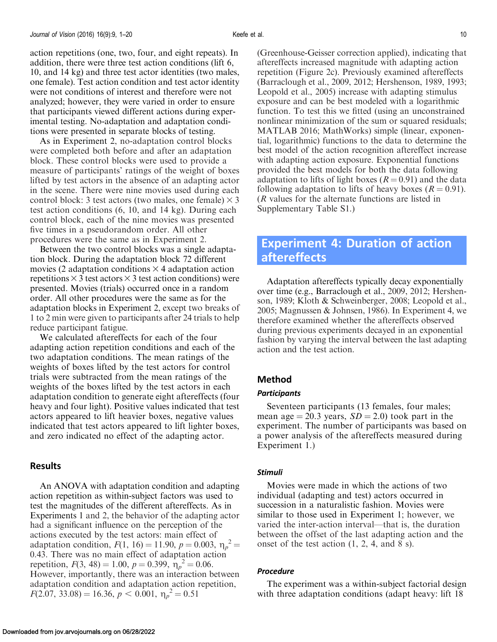<span id="page-9-0"></span>action repetitions (one, two, four, and eight repeats). In addition, there were three test action conditions (lift 6, 10, and 14 kg) and three test actor identities (two males, one female). Test action condition and test actor identity were not conditions of interest and therefore were not analyzed; however, they were varied in order to ensure that participants viewed different actions during experimental testing. No-adaptation and adaptation conditions were presented in separate blocks of testing.

As in [Experiment 2](#page-6-0), no-adaptation control blocks were completed both before and after an adaptation block. These control blocks were used to provide a measure of participants' ratings of the weight of boxes lifted by test actors in the absence of an adapting actor in the scene. There were nine movies used during each control block: 3 test actors (two males, one female)  $\times$  3 test action conditions (6, 10, and 14 kg). During each control block, each of the nine movies was presented five times in a pseudorandom order. All other procedures were the same as in [Experiment 2.](#page-6-0)

Between the two control blocks was a single adaptation block. During the adaptation block 72 different movies (2 adaptation conditions  $\times$  4 adaptation action repetitions  $\times$  3 test actors  $\times$  3 test action conditions) were presented. Movies (trials) occurred once in a random order. All other procedures were the same as for the adaptation blocks in [Experiment 2,](#page-6-0) except two breaks of 1 to 2 min were given to participants after 24 trials to help reduce participant fatigue.

We calculated aftereffects for each of the four adapting action repetition conditions and each of the two adaptation conditions. The mean ratings of the weights of boxes lifted by the test actors for control trials were subtracted from the mean ratings of the weights of the boxes lifted by the test actors in each adaptation condition to generate eight aftereffects (four heavy and four light). Positive values indicated that test actors appeared to lift heavier boxes, negative values indicated that test actors appeared to lift lighter boxes, and zero indicated no effect of the adapting actor.

#### Results

An ANOVA with adaptation condition and adapting action repetition as within-subject factors was used to test the magnitudes of the different aftereffects. As in [Experiments 1](#page-5-0) and [2,](#page-6-0) the behavior of the adapting actor had a significant influence on the perception of the actions executed by the test actors: main effect of adaptation condition,  $F(1, 16) = 11.90$ ,  $p = 0.003$ ,  $\eta_p^2 =$ 0.43. There was no main effect of adaptation action repetition,  $F(3, 48) = 1.00$ ,  $p = 0.399$ ,  $\overline{p_p}^2 = 0.06$ . However, importantly, there was an interaction between adaptation condition and adaptation action repetition,  $F(2.07, 33.08) = 16.36, p < 0.001, \eta_p^2 = 0.51$ 

(Greenhouse-Geisser correction applied), indicating that aftereffects increased magnitude with adapting action repetition [\(Figure 2c](#page-7-0)). Previously examined aftereffects (Barraclough et al., [2009, 2012](#page-16-0); Hershenson, [1989,](#page-17-0) [1993](#page-18-0); Leopold et al., [2005\)](#page-18-0) increase with adapting stimulus exposure and can be best modeled with a logarithmic function. To test this we fitted (using an unconstrained nonlinear minimization of the sum or squared residuals; MATLAB 2016; MathWorks) simple (linear, exponential, logarithmic) functions to the data to determine the best model of the action recognition aftereffect increase with adapting action exposure. Exponential functions provided the best models for both the data following adaptation to lifts of light boxes  $(R = 0.91)$  and the data following adaptation to lifts of heavy boxes ( $R = 0.91$ ). (R values for the alternate functions are listed in [Supplementary Table S1.](http://jov.arvojournals.org/data/Journals/JOV/935414/i1534-7362-16-9-9-S01.pdf))

# Experiment 4: Duration of action aftereffects

Adaptation aftereffects typically decay exponentially over time (e.g., Barraclough et al., [2009](#page-16-0), [2012;](#page-16-0) Hershenson, [1989](#page-17-0); Kloth & Schweinberger, [2008](#page-18-0); Leopold et al., [2005](#page-18-0); Magnussen & Johnsen, [1986\)](#page-18-0). In Experiment 4, we therefore examined whether the aftereffects observed during previous experiments decayed in an exponential fashion by varying the interval between the last adapting action and the test action.

# Method

#### **Participants**

Seventeen participants (13 females, four males; mean age = 20.3 years,  $SD = 2.0$ ) took part in the experiment. The number of participants was based on a power analysis of the aftereffects measured during [Experiment 1.](#page-5-0))

#### Stimuli

Movies were made in which the actions of two individual (adapting and test) actors occurred in succession in a naturalistic fashion. Movies were similar to those used in [Experiment 1;](#page-5-0) however, we varied the inter-action interval—that is, the duration between the offset of the last adapting action and the onset of the test action (1, 2, 4, and 8 s).

#### Procedure

The experiment was a within-subject factorial design with three adaptation conditions (adapt heavy: lift 18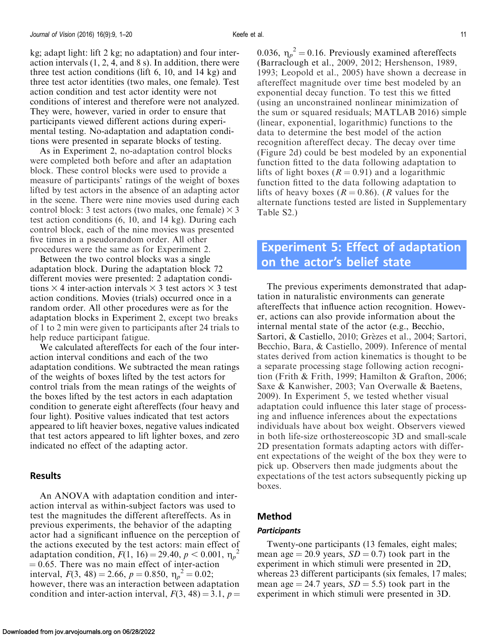<span id="page-10-0"></span>kg; adapt light: lift 2 kg; no adaptation) and four interaction intervals  $(1, 2, 4, \text{ and } 8 \text{ s})$ . In addition, there were three test action conditions (lift 6, 10, and 14 kg) and three test actor identities (two males, one female). Test action condition and test actor identity were not conditions of interest and therefore were not analyzed. They were, however, varied in order to ensure that participants viewed different actions during experimental testing. No-adaptation and adaptation conditions were presented in separate blocks of testing.

As in [Experiment 2](#page-6-0), no-adaptation control blocks were completed both before and after an adaptation block. These control blocks were used to provide a measure of participants' ratings of the weight of boxes lifted by test actors in the absence of an adapting actor in the scene. There were nine movies used during each control block: 3 test actors (two males, one female)  $\times$  3 test action conditions (6, 10, and 14 kg). During each control block, each of the nine movies was presented five times in a pseudorandom order. All other procedures were the same as for [Experiment 2.](#page-6-0)

Between the two control blocks was a single adaptation block. During the adaptation block 72 different movies were presented: 2 adaptation conditions  $\times$  4 inter-action intervals  $\times$  3 test actors  $\times$  3 test action conditions. Movies (trials) occurred once in a random order. All other procedures were as for the adaptation blocks in [Experiment 2](#page-6-0), except two breaks of 1 to 2 min were given to participants after 24 trials to help reduce participant fatigue.

We calculated aftereffects for each of the four interaction interval conditions and each of the two adaptation conditions. We subtracted the mean ratings of the weights of boxes lifted by the test actors for control trials from the mean ratings of the weights of the boxes lifted by the test actors in each adaptation condition to generate eight aftereffects (four heavy and four light). Positive values indicated that test actors appeared to lift heavier boxes, negative values indicated that test actors appeared to lift lighter boxes, and zero indicated no effect of the adapting actor.

#### Results

An ANOVA with adaptation condition and interaction interval as within-subject factors was used to test the magnitudes the different aftereffects. As in previous experiments, the behavior of the adapting actor had a significant influence on the perception of the actions executed by the test actors: main effect of adaptation condition,  $F(1, 16) = 29.40, p < 0.001, \eta_p^2$  $= 0.65$ . There was no main effect of inter-action interval,  $F(3, 48) = 2.66$ ,  $p = 0.850$ ,  $\eta_p^2 = 0.02$ ; however, there was an interaction between adaptation condition and inter-action interval,  $F(3, 48) = 3.1$ ,  $p =$ 

0.036,  $\eta_p^2 = 0.16$ . Previously examined aftereffects (Barraclough et al., [2009, 2012](#page-16-0); Hershenson, [1989](#page-17-0), [1993](#page-18-0); Leopold et al., [2005\)](#page-18-0) have shown a decrease in aftereffect magnitude over time best modeled by an exponential decay function. To test this we fitted (using an unconstrained nonlinear minimization of the sum or squared residuals; MATLAB 2016) simple (linear, exponential, logarithmic) functions to the data to determine the best model of the action recognition aftereffect decay. The decay over time ([Figure 2d](#page-7-0)) could be best modeled by an exponential function fitted to the data following adaptation to lifts of light boxes ( $R = 0.91$ ) and a logarithmic function fitted to the data following adaptation to lifts of heavy boxes ( $R = 0.86$ ). (R values for the alternate functions tested are listed in [Supplementary](http://jov.arvojournals.org/data/Journals/JOV/935414/i1534-7362-16-9-9-S01.pdf) [Table S2.](http://))

# Experiment 5: Effect of adaptation on the actor's belief state

The previous experiments demonstrated that adaptation in naturalistic environments can generate aftereffects that influence action recognition. However, actions can also provide information about the internal mental state of the actor (e.g., Becchio, Sartori, & Castiello, [2010;](#page-17-0) Grèzes et al., [2004](#page-17-0); Sartori, Becchio, Bara, & Castiello, [2009\)](#page-19-0). Inference of mental states derived from action kinematics is thought to be a separate processing stage following action recognition (Frith & Frith, [1999;](#page-17-0) Hamilton & Grafton, [2006](#page-17-0); Saxe & Kanwisher, [2003;](#page-19-0) Van Overwalle & Baetens, [2009](#page-19-0)). In Experiment 5, we tested whether visual adaptation could influence this later stage of processing and influence inferences about the expectations individuals have about box weight. Observers viewed in both life-size orthostereoscopic 3D and small-scale 2D presentation formats adapting actors with different expectations of the weight of the box they were to pick up. Observers then made judgments about the expectations of the test actors subsequently picking up boxes.

# Method

#### **Participants**

Twenty-one participants (13 females, eight males; mean age  $= 20.9$  years,  $SD = 0.7$ ) took part in the experiment in which stimuli were presented in 2D, whereas 23 different participants (six females, 17 males; mean age  $= 24.7$  years,  $SD = 5.5$ ) took part in the experiment in which stimuli were presented in 3D.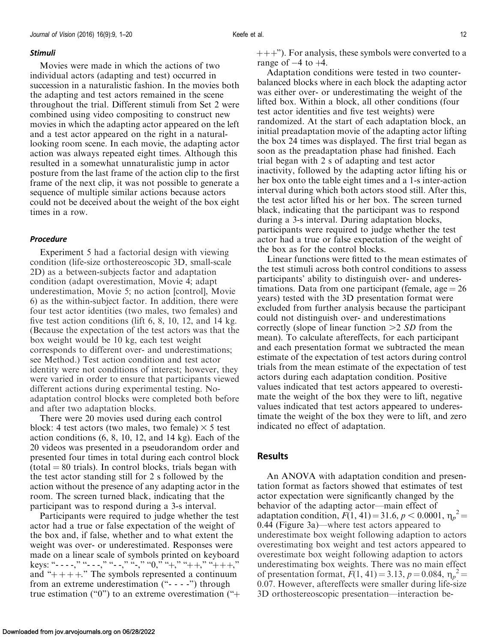### Stimuli

Movies were made in which the actions of two individual actors (adapting and test) occurred in succession in a naturalistic fashion. In the movies both the adapting and test actors remained in the scene throughout the trial. Different stimuli from Set 2 were combined using video compositing to construct new movies in which the adapting actor appeared on the left and a test actor appeared on the right in a naturallooking room scene. In each movie, the adapting actor action was always repeated eight times. Although this resulted in a somewhat unnaturalistic jump in actor posture from the last frame of the action clip to the first frame of the next clip, it was not possible to generate a sequence of multiple similar actions because actors could not be deceived about the weight of the box eight times in a row.

#### Procedure

[Experiment 5](#page-10-0) had a factorial design with viewing condition (life-size orthostereoscopic 3D, small-scale 2D) as a between-subjects factor and adaptation condition (adapt overestimation, [Movie 4](http://jov.arvojournals.org/data/Journals/JOV/935414/i1534-7362-16-9-9-S05.mov); adapt underestimation, [Movie 5;](http://jov.arvojournals.org/data/Journals/JOV/935414/i1534-7362-16-9-9-S06.mov) no action [control], [Movie](http://jov.arvojournals.org/data/Journals/JOV/935414/i1534-7362-16-9-9-S07.mov) [6](http://)) as the within-subject factor. In addition, there were four test actor identities (two males, two females) and five test action conditions (lift 6, 8, 10, 12, and 14 kg. (Because the expectation of the test actors was that the box weight would be 10 kg, each test weight corresponds to different over- and underestimations; see Method.) Test action condition and test actor identity were not conditions of interest; however, they were varied in order to ensure that participants viewed different actions during experimental testing. Noadaptation control blocks were completed both before and after two adaptation blocks.

There were 20 movies used during each control block: 4 test actors (two males, two female)  $\times$  5 test action conditions (6, 8, 10, 12, and 14 kg). Each of the 20 videos was presented in a pseudorandom order and presented four times in total during each control block  $(total = 80 \text{ trials})$ . In control blocks, trials began with the test actor standing still for 2 s followed by the action without the presence of any adapting actor in the room. The screen turned black, indicating that the participant was to respond during a 3-s interval.

Participants were required to judge whether the test actor had a true or false expectation of the weight of the box and, if false, whether and to what extent the weight was over- or underestimated. Responses were made on a linear scale of symbols printed on keyboard keys: "- - -," "- - -," "- -," "-," "0," "+," "++," "+++," and " $++++$ ". The symbols represented a continuum from an extreme underestimation (''- - - -'') through true estimation ("0") to an extreme overestimation ("+  $++$ "). For analysis, these symbols were converted to a range of  $-4$  to  $+4$ .

Adaptation conditions were tested in two counterbalanced blocks where in each block the adapting actor was either over- or underestimating the weight of the lifted box. Within a block, all other conditions (four test actor identities and five test weights) were randomized. At the start of each adaptation block, an initial preadaptation movie of the adapting actor lifting the box 24 times was displayed. The first trial began as soon as the preadaptation phase had finished. Each trial began with 2 s of adapting and test actor inactivity, followed by the adapting actor lifting his or her box onto the table eight times and a 1-s inter-action interval during which both actors stood still. After this, the test actor lifted his or her box. The screen turned black, indicating that the participant was to respond during a 3-s interval. During adaptation blocks, participants were required to judge whether the test actor had a true or false expectation of the weight of the box as for the control blocks.

Linear functions were fitted to the mean estimates of the test stimuli across both control conditions to assess participants' ability to distinguish over- and underestimations. Data from one participant (female,  $age = 26$ years) tested with the 3D presentation format were excluded from further analysis because the participant could not distinguish over- and underestimations correctly (slope of linear function  $>2$  SD from the mean). To calculate aftereffects, for each participant and each presentation format we subtracted the mean estimate of the expectation of test actors during control trials from the mean estimate of the expectation of test actors during each adaptation condition. Positive values indicated that test actors appeared to overestimate the weight of the box they were to lift, negative values indicated that test actors appeared to underestimate the weight of the box they were to lift, and zero indicated no effect of adaptation.

### Results

An ANOVA with adaptation condition and presentation format as factors showed that estimates of test actor expectation were significantly changed by the behavior of the adapting actor—main effect of adaptation condition,  $F(1, 41) = 31.6, p < 0.0001, \eta_p^2 =$ 0.44 ([Figure 3a](#page-12-0))—where test actors appeared to underestimate box weight following adaption to actors overestimating box weight and test actors appeared to overestimate box weight following adaption to actors underestimating box weights. There was no main effect of presentation format,  $F(1, 41) = 3.13$ ,  $p = 0.084$ ,  $\eta_p^2 =$ 0.07. However, aftereffects were smaller during life-size 3D orthostereoscopic presentation—interaction be-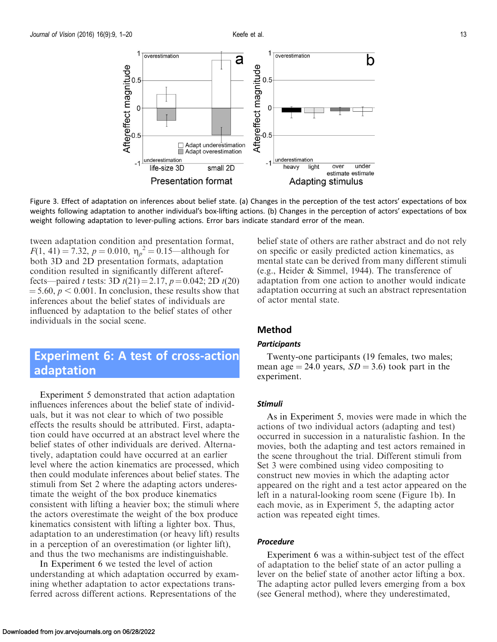<span id="page-12-0"></span>

Figure 3. Effect of adaptation on inferences about belief state. (a) Changes in the perception of the test actors' expectations of box weights following adaptation to another individual's box-lifting actions. (b) Changes in the perception of actors' expectations of box weight following adaptation to lever-pulling actions. Error bars indicate standard error of the mean.

tween adaptation condition and presentation format,  $F(1, 41) = 7.32, p = 0.010, \eta_p^2 = 0.15$ —although for both 3D and 2D presentation formats, adaptation condition resulted in significantly different aftereffects—paired t tests: 3D  $t(21) = 2.17$ ,  $p = 0.042$ ; 2D  $t(20)$  $=$  5.60,  $p < 0.001$ . In conclusion, these results show that inferences about the belief states of individuals are influenced by adaptation to the belief states of other individuals in the social scene.

# Experiment 6: A test of cross-action adaptation

[Experiment 5](#page-10-0) demonstrated that action adaptation influences inferences about the belief state of individuals, but it was not clear to which of two possible effects the results should be attributed. First, adaptation could have occurred at an abstract level where the belief states of other individuals are derived. Alternatively, adaptation could have occurred at an earlier level where the action kinematics are processed, which then could modulate inferences about belief states. The stimuli from Set 2 where the adapting actors underestimate the weight of the box produce kinematics consistent with lifting a heavier box; the stimuli where the actors overestimate the weight of the box produce kinematics consistent with lifting a lighter box. Thus, adaptation to an underestimation (or heavy lift) results in a perception of an overestimation (or lighter lift), and thus the two mechanisms are indistinguishable.

In Experiment 6 we tested the level of action understanding at which adaptation occurred by examining whether adaptation to actor expectations transferred across different actions. Representations of the

belief state of others are rather abstract and do not rely on specific or easily predicted action kinematics, as mental state can be derived from many different stimuli (e.g., Heider & Simmel, [1944](#page-17-0)). The transference of adaptation from one action to another would indicate adaptation occurring at such an abstract representation of actor mental state.

### Method

#### **Participants**

Twenty-one participants (19 females, two males; mean age  $= 24.0$  years,  $SD = 3.6$ ) took part in the experiment.

#### Stimuli

As in [Experiment 5,](#page-10-0) movies were made in which the actions of two individual actors (adapting and test) occurred in succession in a naturalistic fashion. In the movies, both the adapting and test actors remained in the scene throughout the trial. Different stimuli from Set 3 were combined using video compositing to construct new movies in which the adapting actor appeared on the right and a test actor appeared on the left in a natural-looking room scene [\(Figure 1b](#page-4-0)). In each movie, as in [Experiment 5,](#page-10-0) the adapting actor action was repeated eight times.

#### Procedure

Experiment 6 was a within-subject test of the effect of adaptation to the belief state of an actor pulling a lever on the belief state of another actor lifting a box. The adapting actor pulled levers emerging from a box (see General method), where they underestimated,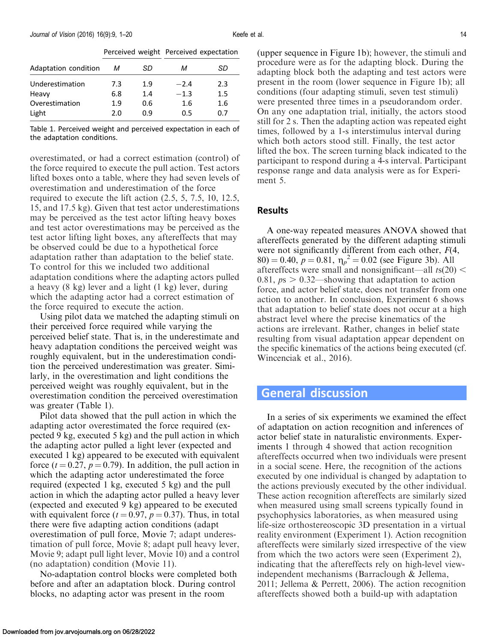Perceived weight Perceived expectation

| Adaptation condition | м   | SD  | м      | SD      |
|----------------------|-----|-----|--------|---------|
| Underestimation      | 7.3 | 1.9 | $-2.4$ | 2.3     |
| Heavy                | 6.8 | 1.4 | $-1.3$ | $1.5\,$ |
| Overestimation       | 1 9 | 0.6 | 1.6    | 1.6     |
| Light                | 2 በ | በ ዓ | 0.5    | ი ⁊     |

Table 1. Perceived weight and perceived expectation in each of the adaptation conditions.

overestimated, or had a correct estimation (control) of the force required to execute the pull action. Test actors lifted boxes onto a table, where they had seven levels of overestimation and underestimation of the force required to execute the lift action (2.5, 5, 7.5, 10, 12.5, 15, and 17.5 kg). Given that test actor underestimations may be perceived as the test actor lifting heavy boxes and test actor overestimations may be perceived as the test actor lifting light boxes, any aftereffects that may be observed could be due to a hypothetical force adaptation rather than adaptation to the belief state. To control for this we included two additional adaptation conditions where the adapting actors pulled a heavy (8 kg) lever and a light (1 kg) lever, during which the adapting actor had a correct estimation of the force required to execute the action.

Using pilot data we matched the adapting stimuli on their perceived force required while varying the perceived belief state. That is, in the underestimate and heavy adaptation conditions the perceived weight was roughly equivalent, but in the underestimation condition the perceived underestimation was greater. Similarly, in the overestimation and light conditions the perceived weight was roughly equivalent, but in the overestimation condition the perceived overestimation was greater (Table 1).

Pilot data showed that the pull action in which the adapting actor overestimated the force required (expected 9 kg, executed 5 kg) and the pull action in which the adapting actor pulled a light lever (expected and executed 1 kg) appeared to be executed with equivalent force  $(t = 0.27, p = 0.79)$ . In addition, the pull action in which the adapting actor underestimated the force required (expected 1 kg, executed 5 kg) and the pull action in which the adapting actor pulled a heavy lever (expected and executed 9 kg) appeared to be executed with equivalent force ( $t = 0.97$ ,  $p = 0.37$ ). Thus, in total there were five adapting action conditions (adapt overestimation of pull force, [Movie 7](http://jov.arvojournals.org/data/Journals/JOV/935414/i1534-7362-16-9-9-S08.mov); adapt underestimation of pull force, [Movie 8](http://jov.arvojournals.org/data/Journals/JOV/935414/i1534-7362-16-9-9-S09.mov); adapt pull heavy lever, [Movie 9](http://jov.arvojournals.org/data/Journals/JOV/935414/i1534-7362-16-9-9-S10.mov); adapt pull light lever, [Movie 10](http://jov.arvojournals.org/data/Journals/JOV/935414/i1534-7362-16-9-9-S11.mov)) and a control (no adaptation) condition [\(Movie 11](http://jov.arvojournals.org/data/Journals/JOV/935414/i1534-7362-16-9-9-S12.mov)).

No-adaptation control blocks were completed both before and after an adaptation block. During control blocks, no adapting actor was present in the room

(upper sequence in [Figure 1b](#page-4-0)); however, the stimuli and procedure were as for the adapting block. During the adapting block both the adapting and test actors were present in the room (lower sequence in [Figure 1b](#page-4-0)); all conditions (four adapting stimuli, seven test stimuli) were presented three times in a pseudorandom order. On any one adaptation trial, initially, the actors stood still for 2 s. Then the adapting action was repeated eight times, followed by a 1-s interstimulus interval during which both actors stood still. Finally, the test actor lifted the box. The screen turning black indicated to the participant to respond during a 4-s interval. Participant response range and data analysis were as for [Experi](#page-10-0)[ment 5.](#page-10-0)

### Results

A one-way repeated measures ANOVA showed that aftereffects generated by the different adapting stimuli were not significantly different from each other,  $F(4, 4)$  $80$ ) = 0.40,  $p = 0.81$ ,  $\eta_p^2 = 0.02$  (see [Figure 3b](#page-12-0)). All aftereffects were small and nonsignificant—all  $ts(20)$  < 0.81,  $ps > 0.32$ —showing that adaptation to action force, and actor belief state, does not transfer from one action to another. In conclusion, [Experiment 6](#page-12-0) shows that adaptation to belief state does not occur at a high abstract level where the precise kinematics of the actions are irrelevant. Rather, changes in belief state resulting from visual adaptation appear dependent on the specific kinematics of the actions being executed (cf. Wincenciak et al., [2016](#page-19-0)).

# General discussion

In a series of six experiments we examined the effect of adaptation on action recognition and inferences of actor belief state in naturalistic environments. [Exper](#page-5-0)[iments 1](#page-5-0) through [4](#page-9-0) showed that action recognition aftereffects occurred when two individuals were present in a social scene. Here, the recognition of the actions executed by one individual is changed by adaptation to the actions previously executed by the other individual. These action recognition aftereffects are similarly sized when measured using small screens typically found in psychophysics laboratories, as when measured using life-size orthostereoscopic 3D presentation in a virtual reality environment [\(Experiment 1\)](#page-5-0). Action recognition aftereffects were similarly sized irrespective of the view from which the two actors were seen ([Experiment 2](#page-6-0)), indicating that the aftereffects rely on high-level viewindependent mechanisms (Barraclough & Jellema, [2011;](#page-16-0) Jellema & Perrett, [2006](#page-18-0)). The action recognition aftereffects showed both a build-up with adaptation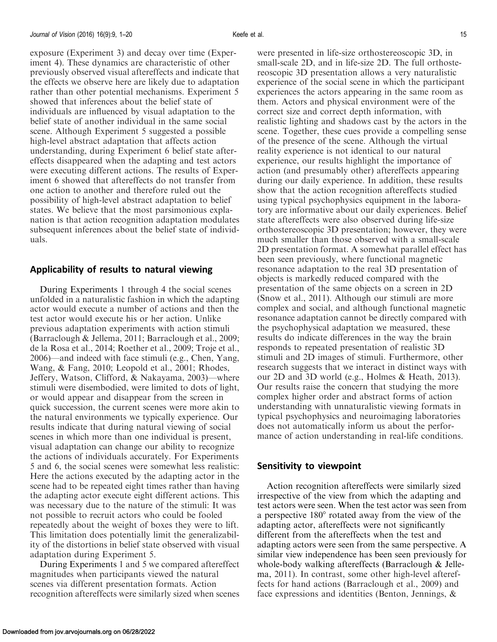exposure ([Experiment 3](#page-8-0)) and decay over time ([Exper](#page-9-0)[iment 4\)](#page-9-0). These dynamics are characteristic of other previously observed visual aftereffects and indicate that the effects we observe here are likely due to adaptation rather than other potential mechanisms. [Experiment 5](#page-10-0) showed that inferences about the belief state of individuals are influenced by visual adaptation to the belief state of another individual in the same social scene. Although [Experiment 5](#page-10-0) suggested a possible high-level abstract adaptation that affects action understanding, during [Experiment 6](#page-12-0) belief state aftereffects disappeared when the adapting and test actors were executing different actions. The results of [Exper](#page-12-0)[iment 6](#page-12-0) showed that aftereffects do not transfer from one action to another and therefore ruled out the possibility of high-level abstract adaptation to belief states. We believe that the most parsimonious explanation is that action recognition adaptation modulates subsequent inferences about the belief state of individuals.

# Applicability of results to natural viewing

During [Experiments](#page-5-0) 1 through [4](#page-9-0) the social scenes unfolded in a naturalistic fashion in which the adapting actor would execute a number of actions and then the test actor would execute his or her action. Unlike previous adaptation experiments with action stimuli (Barraclough & Jellema, [2011](#page-16-0); Barraclough et al., [2009](#page-16-0); de la Rosa et al., [2014;](#page-17-0) Roether et al., [2009;](#page-19-0) Troje et al., [2006\)](#page-19-0)—and indeed with face stimuli (e.g., Chen, Yang, Wang, & Fang, [2010](#page-17-0); Leopold et al., [2001;](#page-18-0) Rhodes, Jeffery, Watson, Clifford, & Nakayama, [2003\)](#page-19-0)—where stimuli were disembodied, were limited to dots of light, or would appear and disappear from the screen in quick succession, the current scenes were more akin to the natural environments we typically experience. Our results indicate that during natural viewing of social scenes in which more than one individual is present, visual adaptation can change our ability to recognize the actions of individuals accurately. For [Experiments](#page-12-0) [5](#page-10-0) and [6,](#page-12-0) the social scenes were somewhat less realistic: Here the actions executed by the adapting actor in the scene had to be repeated eight times rather than having the adapting actor execute eight different actions. This was necessary due to the nature of the stimuli: It was not possible to recruit actors who could be fooled repeatedly about the weight of boxes they were to lift. This limitation does potentially limit the generalizability of the distortions in belief state observed with visual adaptation during [Experiment 5](#page-10-0).

During [Experiments](#page-5-0) 1 and [5](#page-10-0) we compared aftereffect magnitudes when participants viewed the natural scenes via different presentation formats. Action recognition aftereffects were similarly sized when scenes were presented in life-size orthostereoscopic 3D, in small-scale 2D, and in life-size 2D. The full orthostereoscopic 3D presentation allows a very naturalistic experience of the social scene in which the participant experiences the actors appearing in the same room as them. Actors and physical environment were of the correct size and correct depth information, with realistic lighting and shadows cast by the actors in the scene. Together, these cues provide a compelling sense of the presence of the scene. Although the virtual reality experience is not identical to our natural experience, our results highlight the importance of action (and presumably other) aftereffects appearing during our daily experience. In addition, these results show that the action recognition aftereffects studied using typical psychophysics equipment in the laboratory are informative about our daily experiences. Belief state aftereffects were also observed during life-size orthostereoscopic 3D presentation; however, they were much smaller than those observed with a small-scale 2D presentation format. A somewhat parallel effect has been seen previously, where functional magnetic resonance adaptation to the real 3D presentation of objects is markedly reduced compared with the presentation of the same objects on a screen in 2D (Snow et al., [2011](#page-19-0)). Although our stimuli are more complex and social, and although functional magnetic resonance adaptation cannot be directly compared with the psychophysical adaptation we measured, these results do indicate differences in the way the brain responds to repeated presentation of realistic 3D stimuli and 2D images of stimuli. Furthermore, other research suggests that we interact in distinct ways with our 2D and 3D world (e.g., Holmes & Heath, [2013\)](#page-18-0). Our results raise the concern that studying the more complex higher order and abstract forms of action understanding with unnaturalistic viewing formats in typical psychophysics and neuroimaging laboratories does not automatically inform us about the performance of action understanding in real-life conditions.

### Sensitivity to viewpoint

Action recognition aftereffects were similarly sized irrespective of the view from which the adapting and test actors were seen. When the test actor was seen from a perspective  $180^{\circ}$  rotated away from the view of the adapting actor, aftereffects were not significantly different from the aftereffects when the test and adapting actors were seen from the same perspective. A similar view independence has been seen previously for whole-body walking aftereffects (Barraclough & Jellema, [2011\)](#page-16-0). In contrast, some other high-level aftereffects for hand actions (Barraclough et al., [2009\)](#page-16-0) and face expressions and identities (Benton, Jennings, &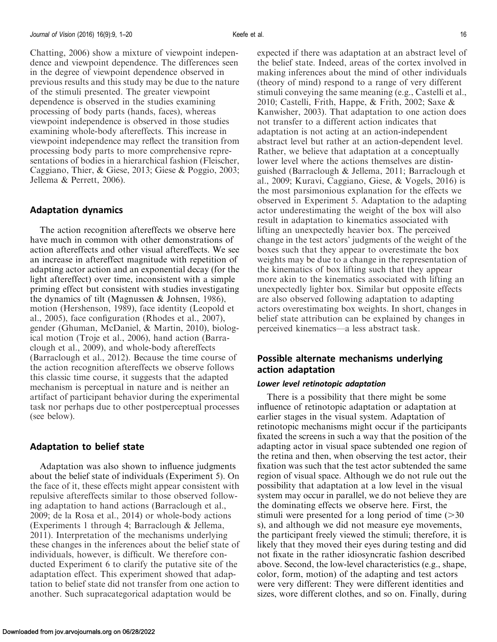Chatting, [2006\)](#page-17-0) show a mixture of viewpoint independence and viewpoint dependence. The differences seen in the degree of viewpoint dependence observed in previous results and this study may be due to the nature of the stimuli presented. The greater viewpoint dependence is observed in the studies examining processing of body parts (hands, faces), whereas viewpoint independence is observed in those studies examining whole-body aftereffects. This increase in viewpoint independence may reflect the transition from processing body parts to more comprehensive representations of bodies in a hierarchical fashion (Fleischer, Caggiano, Thier, & Giese, [2013;](#page-17-0) Giese & Poggio, [2003](#page-17-0); Jellema & Perrett, [2006](#page-18-0)).

# Adaptation dynamics

The action recognition aftereffects we observe here have much in common with other demonstrations of action aftereffects and other visual aftereffects. We see an increase in aftereffect magnitude with repetition of adapting actor action and an exponential decay (for the light aftereffect) over time, inconsistent with a simple priming effect but consistent with studies investigating the dynamics of tilt (Magnussen & Johnsen, [1986](#page-18-0)), motion (Hershenson, [1989](#page-17-0)), face identity (Leopold et al., [2005\)](#page-18-0), face configuration (Rhodes et al., [2007\)](#page-19-0), gender (Ghuman, McDaniel, & Martin, [2010](#page-17-0)), biological motion (Troje et al., [2006\)](#page-19-0), hand action (Barraclough et al., [2009](#page-16-0)), and whole-body aftereffects (Barraclough et al., [2012](#page-16-0)). Because the time course of the action recognition aftereffects we observe follows this classic time course, it suggests that the adapted mechanism is perceptual in nature and is neither an artifact of participant behavior during the experimental task nor perhaps due to other postperceptual processes (see below).

### Adaptation to belief state

Adaptation was also shown to influence judgments about the belief state of individuals [\(Experiment 5\)](#page-10-0). On the face of it, these effects might appear consistent with repulsive aftereffects similar to those observed following adaptation to hand actions (Barraclough et al., [2009;](#page-16-0) de la Rosa et al., [2014\)](#page-17-0) or whole-body actions ([Experiments 1](#page-5-0) through [4;](#page-9-0) Barraclough & Jellema, [2011\)](#page-16-0). Interpretation of the mechanisms underlying these changes in the inferences about the belief state of individuals, however, is difficult. We therefore conducted [Experiment 6](#page-12-0) to clarify the putative site of the adaptation effect. This experiment showed that adaptation to belief state did not transfer from one action to another. Such supracategorical adaptation would be

the belief state. Indeed, areas of the cortex involved in making inferences about the mind of other individuals (theory of mind) respond to a range of very different stimuli conveying the same meaning (e.g., Castelli et al., [2010;](#page-17-0) Castelli, Frith, Happe, & Frith, [2002](#page-17-0); Saxe & Kanwisher, [2003](#page-19-0)). That adaptation to one action does not transfer to a different action indicates that adaptation is not acting at an action-independent abstract level but rather at an action-dependent level. Rather, we believe that adaptation at a conceptually lower level where the actions themselves are distinguished (Barraclough & Jellema, [2011;](#page-16-0) Barraclough et al., [2009;](#page-16-0) Kuravi, Caggiano, Giese, & Vogels, [2016](#page-18-0)) is the most parsimonious explanation for the effects we observed in [Experiment 5](#page-10-0). Adaptation to the adapting actor underestimating the weight of the box will also result in adaptation to kinematics associated with lifting an unexpectedly heavier box. The perceived change in the test actors' judgments of the weight of the boxes such that they appear to overestimate the box weights may be due to a change in the representation of the kinematics of box lifting such that they appear more akin to the kinematics associated with lifting an unexpectedly lighter box. Similar but opposite effects are also observed following adaptation to adapting actors overestimating box weights. In short, changes in belief state attribution can be explained by changes in perceived kinematics—a less abstract task.

expected if there was adaptation at an abstract level of

# Possible alternate mechanisms underlying action adaptation

#### Lower level retinotopic adaptation

There is a possibility that there might be some influence of retinotopic adaptation or adaptation at earlier stages in the visual system. Adaptation of retinotopic mechanisms might occur if the participants fixated the screens in such a way that the position of the adapting actor in visual space subtended one region of the retina and then, when observing the test actor, their fixation was such that the test actor subtended the same region of visual space. Although we do not rule out the possibility that adaptation at a low level in the visual system may occur in parallel, we do not believe they are the dominating effects we observe here. First, the stimuli were presented for a long period of time  $(>= 30$ s), and although we did not measure eye movements, the participant freely viewed the stimuli; therefore, it is likely that they moved their eyes during testing and did not fixate in the rather idiosyncratic fashion described above. Second, the low-level characteristics (e.g., shape, color, form, motion) of the adapting and test actors were very different: They were different identities and sizes, wore different clothes, and so on. Finally, during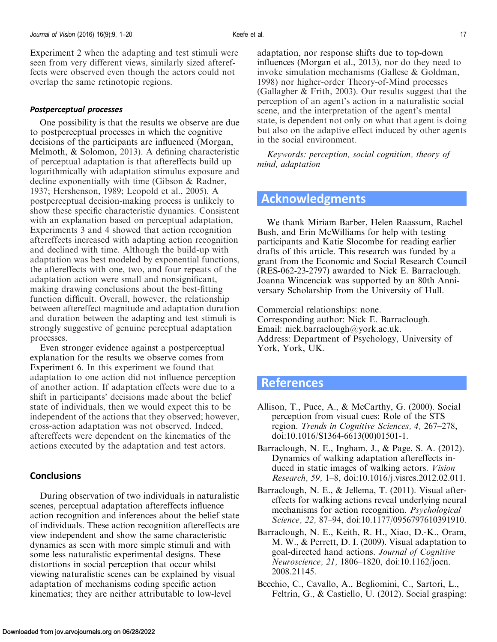<span id="page-16-0"></span>[Experiment 2](#page-6-0) when the adapting and test stimuli were seen from very different views, similarly sized aftereffects were observed even though the actors could not overlap the same retinotopic regions.

#### Postperceptual processes

One possibility is that the results we observe are due to postperceptual processes in which the cognitive decisions of the participants are influenced (Morgan, Melmoth, & Solomon, [2013\)](#page-18-0). A defining characteristic of perceptual adaptation is that aftereffects build up logarithmically with adaptation stimulus exposure and decline exponentially with time (Gibson & Radner, [1937;](#page-17-0) Hershenson, [1989](#page-17-0); Leopold et al., [2005\)](#page-18-0). A postperceptual decision-making process is unlikely to show these specific characteristic dynamics. Consistent with an explanation based on perceptual adaptation, [Experiments 3](#page-8-0) and [4](#page-9-0) showed that action recognition aftereffects increased with adapting action recognition and declined with time. Although the build-up with adaptation was best modeled by exponential functions, the aftereffects with one, two, and four repeats of the adaptation action were small and nonsignificant, making drawing conclusions about the best-fitting function difficult. Overall, however, the relationship between aftereffect magnitude and adaptation duration and duration between the adapting and test stimuli is strongly suggestive of genuine perceptual adaptation processes.

Even stronger evidence against a postperceptual explanation for the results we observe comes from [Experiment 6](#page-12-0). In this experiment we found that adaptation to one action did not influence perception of another action. If adaptation effects were due to a shift in participants' decisions made about the belief state of individuals, then we would expect this to be independent of the actions that they observed; however, cross-action adaptation was not observed. Indeed, aftereffects were dependent on the kinematics of the actions executed by the adaptation and test actors.

#### **Conclusions**

During observation of two individuals in naturalistic scenes, perceptual adaptation aftereffects influence action recognition and inferences about the belief state of individuals. These action recognition aftereffects are view independent and show the same characteristic dynamics as seen with more simple stimuli and with some less naturalistic experimental designs. These distortions in social perception that occur whilst viewing naturalistic scenes can be explained by visual adaptation of mechanisms coding specific action kinematics; they are neither attributable to low-level

adaptation, nor response shifts due to top-down influences (Morgan et al., [2013\)](#page-18-0), nor do they need to invoke simulation mechanisms (Gallese & Goldman, [1998\)](#page-17-0) nor higher-order Theory-of-Mind processes (Gallagher & Frith, [2003\)](#page-17-0). Our results suggest that the perception of an agent's action in a naturalistic social scene, and the interpretation of the agent's mental state, is dependent not only on what that agent is doing but also on the adaptive effect induced by other agents in the social environment.

Keywords: perception, social cognition, theory of mind, adaptation

# Acknowledgments

We thank Miriam Barber, Helen Raassum, Rachel Bush, and Erin McWilliams for help with testing participants and Katie Slocombe for reading earlier drafts of this article. This research was funded by a grant from the Economic and Social Research Council (RES-062-23-2797) awarded to Nick E. Barraclough. Joanna Wincenciak was supported by an 80th Anniversary Scholarship from the University of Hull.

Commercial relationships: none. Corresponding author: Nick E. Barraclough. Email: nick.barraclough@york.ac.uk. Address: Department of Psychology, University of York, York, UK.

# References

- Allison, T., Puce, A., & McCarthy, G. (2000). Social perception from visual cues: Role of the STS region. Trends in Cognitive Sciences, 4, 267–278, doi:10.1016/S1364-6613(00)01501-1.
- Barraclough, N. E., Ingham, J., & Page, S. A. (2012). Dynamics of walking adaptation aftereffects induced in static images of walking actors. Vision Research, 59, 1–8, doi:10.1016/j.visres.2012.02.011.
- Barraclough, N. E., & Jellema, T. (2011). Visual aftereffects for walking actions reveal underlying neural mechanisms for action recognition. Psychological Science, 22, 87–94, doi:10.1177/0956797610391910.
- Barraclough, N. E., Keith, R. H., Xiao, D.-K., Oram, M. W., & Perrett, D. I. (2009). Visual adaptation to goal-directed hand actions. Journal of Cognitive Neuroscience, 21, 1806–1820, doi:10.1162/jocn. 2008.21145.
- Becchio, C., Cavallo, A., Begliomini, C., Sartori, L., Feltrin, G., & Castiello, U. (2012). Social grasping: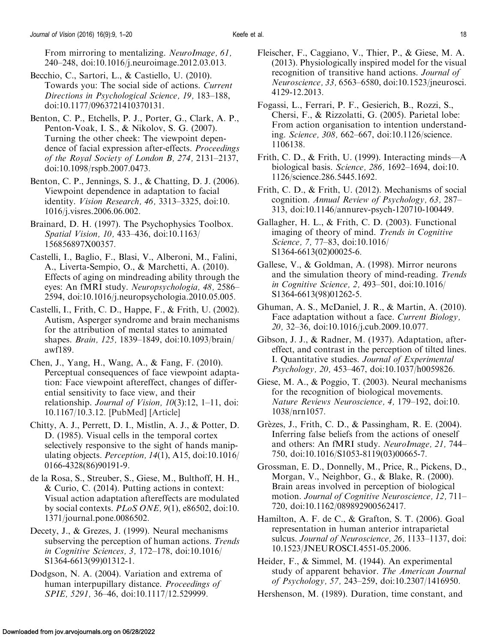<span id="page-17-0"></span>From mirroring to mentalizing. NeuroImage, 61, 240–248, doi:10.1016/j.neuroimage.2012.03.013.

- Becchio, C., Sartori, L., & Castiello, U. (2010). Towards you: The social side of actions. Current Directions in Psychological Science, 19, 183–188, doi:10.1177/0963721410370131.
- Benton, C. P., Etchells, P. J., Porter, G., Clark, A. P., Penton-Voak, I. S., & Nikolov, S. G. (2007). Turning the other cheek: The viewpoint dependence of facial expression after-effects. Proceedings of the Royal Society of London B, 274, 2131–2137, doi:10.1098/rspb.2007.0473.
- Benton, C. P., Jennings, S. J., & Chatting, D. J. (2006). Viewpoint dependence in adaptation to facial identity. Vision Research, 46, 3313–3325, doi:10. 1016/j.visres.2006.06.002.
- Brainard, D. H. (1997). The Psychophysics Toolbox. Spatial Vision, 10, 433–436, doi:10.1163/ 156856897X00357.
- Castelli, I., Baglio, F., Blasi, V., Alberoni, M., Falini, A., Liverta-Sempio, O., & Marchetti, A. (2010). Effects of aging on mindreading ability through the eyes: An fMRI study. Neuropsychologia, 48, 2586– 2594, doi:10.1016/j.neuropsychologia.2010.05.005.
- Castelli, I., Frith, C. D., Happe, F., & Frith, U. (2002). Autism, Asperger syndrome and brain mechanisms for the attribution of mental states to animated shapes. Brain, 125, 1839–1849, doi:10.1093/brain/ awf189.
- Chen, J., Yang, H., Wang, A., & Fang, F. (2010). Perceptual consequences of face viewpoint adaptation: Face viewpoint aftereffect, changes of differential sensitivity to face view, and their relationship. Journal of Vision,  $10(3):12$ ,  $1-11$ , doi: 10.1167/10.3.12. [\[PubMed\]](http://www.ncbi.nlm.nih.gov/pubmed/20377289) [\[Article](http://jov.arvojournals.org/article.aspx?articleid=2158165)]
- Chitty, A. J., Perrett, D. I., Mistlin, A. J., & Potter, D. D. (1985). Visual cells in the temporal cortex selectively responsive to the sight of hands manipulating objects. *Perception*,  $14(1)$ , A15, doi:10.1016 0166-4328(86)90191-9.
- de la Rosa, S., Streuber, S., Giese, M., Bulthoff, H. H., & Curio, C. (2014). Putting actions in context: Visual action adaptation aftereffects are modulated by social contexts. PLoS ONE, 9(1), e86502, doi:10. 1371/journal.pone.0086502.
- Decety, J., & Grezes, J. (1999). Neural mechanisms subserving the perception of human actions. Trends in Cognitive Sciences, 3, 172–178, doi:10.1016/ S1364-6613(99)01312-1.
- Dodgson, N. A. (2004). Variation and extrema of human interpupillary distance. Proceedings of SPIE, 5291, 36–46, doi:10.1117/12.529999.
- Fleischer, F., Caggiano, V., Thier, P., & Giese, M. A. (2013). Physiologically inspired model for the visual recognition of transitive hand actions. Journal of Neuroscience, 33, 6563–6580, doi:10.1523/jneurosci. 4129-12.2013.
- Fogassi, L., Ferrari, P. F., Gesierich, B., Rozzi, S., Chersi, F., & Rizzolatti, G. (2005). Parietal lobe: From action organisation to intention understanding. Science, 308, 662–667, doi:10.1126/science. 1106138.
- Frith, C. D., & Frith, U. (1999). Interacting minds—A biological basis. Science, 286, 1692–1694, doi:10. 1126/science.286.5445.1692.
- Frith, C. D., & Frith, U. (2012). Mechanisms of social cognition. Annual Review of Psychology, 63, 287– 313, doi:10.1146/annurev-psych-120710-100449.
- Gallagher, H. L., & Frith, C. D. (2003). Functional imaging of theory of mind. Trends in Cognitive Science, 7, 77–83, doi:10.1016/ S1364-6613(02)00025-6.
- Gallese, V., & Goldman, A. (1998). Mirror neurons and the simulation theory of mind-reading. Trends in Cognitive Science, 2, 493–501, doi:10.1016/ S1364-6613(98)01262-5.
- Ghuman, A. S., McDaniel, J. R., & Martin, A. (2010). Face adaptation without a face. Current Biology, 20, 32–36, doi:10.1016/j.cub.2009.10.077.
- Gibson, J. J., & Radner, M. (1937). Adaptation, aftereffect, and contrast in the perception of tilted lines. I. Quantitative studies. Journal of Experimental Psychology, 20, 453–467, doi:10.1037/h0059826.
- Giese, M. A., & Poggio, T. (2003). Neural mechanisms for the recognition of biological movements. Nature Reviews Neuroscience, 4, 179–192, doi:10. 1038/nrn1057.
- Grèzes, J., Frith, C. D., & Passingham, R. E. (2004). Inferring false beliefs from the actions of oneself and others: An fMRI study. NeuroImage, 21, 744– 750, doi:10.1016/S1053-8119(03)00665-7.
- Grossman, E. D., Donnelly, M., Price, R., Pickens, D., Morgan, V., Neighbor, G., & Blake, R. (2000). Brain areas involved in perception of biological motion. Journal of Cognitive Neuroscience, 12, 711– 720, doi:10.1162/089892900562417.
- Hamilton, A. F. de C., & Grafton, S. T. (2006). Goal representation in human anterior intraparietal sulcus. Journal of Neuroscience, 26, 1133–1137, doi: 10.1523/JNEUROSCI.4551-05.2006.

Heider, F., & Simmel, M. (1944). An experimental study of apparent behavior. The American Journal of Psychology, 57, 243–259, doi:10.2307/1416950.

Hershenson, M. (1989). Duration, time constant, and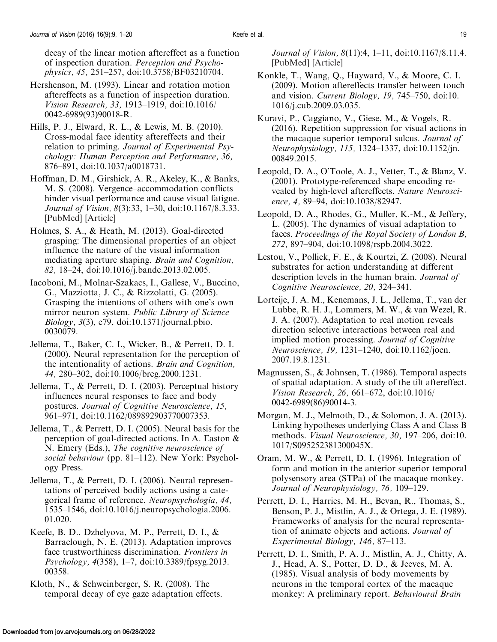<span id="page-18-0"></span>decay of the linear motion aftereffect as a function of inspection duration. Perception and Psychophysics, 45, 251–257, doi:10.3758/BF03210704.

- Hershenson, M. (1993). Linear and rotation motion aftereffects as a function of inspection duration. Vision Research, 33, 1913–1919, doi:10.1016/ 0042-6989(93)90018-R.
- Hills, P. J., Elward, R. L., & Lewis, M. B. (2010). Cross-modal face identity aftereffects and their relation to priming. Journal of Experimental Psychology: Human Perception and Performance, 36, 876–891, doi:10.1037/a0018731.
- Hoffman, D. M., Girshick, A. R., Akeley, K., & Banks, M. S. (2008). Vergence–accommodation conflicts hinder visual performance and cause visual fatigue. Journal of Vision, 8(3):33, 1–30, doi:10.1167/8.3.33. [[PubMed](http://www.ncbi.nlm.nih.gov/pubmed/18484839)] [[Article\]](http://jov.arvojournals.org/article.aspx?articleid=2122611)
- Holmes, S. A., & Heath, M. (2013). Goal-directed grasping: The dimensional properties of an object influence the nature of the visual information mediating aperture shaping. Brain and Cognition, 82, 18–24, doi:10.1016/j.bandc.2013.02.005.
- Iacoboni, M., Molnar-Szakacs, I., Gallese, V., Buccino, G., Mazziotta, J. C., & Rizzolatti, G. (2005). Grasping the intentions of others with one's own mirror neuron system. Public Library of Science Biology, 3(3), e79, doi:10.1371/journal.pbio. 0030079.
- Jellema, T., Baker, C. I., Wicker, B., & Perrett, D. I. (2000). Neural representation for the perception of the intentionality of actions. Brain and Cognition, 44, 280–302, doi:10.1006/brcg.2000.1231.
- Jellema, T., & Perrett, D. I. (2003). Perceptual history influences neural responses to face and body postures. Journal of Cognitive Neuroscience, 15, 961–971, doi:10.1162/089892903770007353.
- Jellema, T., & Perrett, D. I. (2005). Neural basis for the perception of goal-directed actions. In A. Easton & N. Emery (Eds.), The cognitive neuroscience of social behaviour (pp. 81–112). New York: Psychology Press.
- Jellema, T., & Perrett, D. I. (2006). Neural representations of perceived bodily actions using a categorical frame of reference. Neuropsychologia, 44, 1535–1546, doi:10.1016/j.neuropsychologia.2006. 01.020.
- Keefe, B. D., Dzhelyova, M. P., Perrett, D. I., & Barraclough, N. E. (2013). Adaptation improves face trustworthiness discrimination. Frontiers in Psychology, 4(358), 1–7, doi:10.3389/fpsyg.2013. 00358.
- Kloth, N., & Schweinberger, S. R. (2008). The temporal decay of eye gaze adaptation effects.

Journal of Vision, 8(11):4, 1–11, doi:10.1167/8.11.4. [[PubMed](http://www.ncbi.nlm.nih.gov/pubmed/18831598)] [[Article\]](http://jov.arvojournals.org/article.aspx?articleid=2122120)

- Konkle, T., Wang, Q., Hayward, V., & Moore, C. I. (2009). Motion aftereffects transfer between touch and vision. Current Biology, 19, 745–750, doi:10. 1016/j.cub.2009.03.035.
- Kuravi, P., Caggiano, V., Giese, M., & Vogels, R. (2016). Repetition suppression for visual actions in the macaque superior temporal sulcus. Journal of Neurophysiology, 115, 1324–1337, doi:10.1152/jn. 00849.2015.
- Leopold, D. A., O'Toole, A. J., Vetter, T., & Blanz, V. (2001). Prototype-referenced shape encoding revealed by high-level aftereffects. Nature Neuroscience, 4, 89–94, doi:10.1038/82947.
- Leopold, D. A., Rhodes, G., Muller, K.-M., & Jeffery, L. (2005). The dynamics of visual adaptation to faces. Proceedings of the Royal Society of London B, 272, 897–904, doi:10.1098/rspb.2004.3022.
- Lestou, V., Pollick, F. E., & Kourtzi, Z. (2008). Neural substrates for action understanding at different description levels in the human brain. Journal of Cognitive Neuroscience, 20, 324–341.
- Lorteije, J. A. M., Kenemans, J. L., Jellema, T., van der Lubbe, R. H. J., Lommers, M. W., & van Wezel, R. J. A. (2007). Adaptation to real motion reveals direction selective interactions between real and implied motion processing. Journal of Cognitive Neuroscience, 19, 1231–1240, doi:10.1162/jocn. 2007.19.8.1231.
- Magnussen, S., & Johnsen, T. (1986). Temporal aspects of spatial adaptation. A study of the tilt aftereffect. Vision Research, 26, 661–672, doi:10.1016/ 0042-6989(86)90014-3.
- Morgan, M. J., Melmoth, D., & Solomon, J. A. (2013). Linking hypotheses underlying Class A and Class B methods. Visual Neuroscience, 30, 197–206, doi:10. 1017/S095252381300045X.
- Oram, M. W., & Perrett, D. I. (1996). Integration of form and motion in the anterior superior temporal polysensory area (STPa) of the macaque monkey. Journal of Neurophysiology, 76, 109–129.
- Perrett, D. I., Harries, M. H., Bevan, R., Thomas, S., Benson, P. J., Mistlin, A. J., & Ortega, J. E. (1989). Frameworks of analysis for the neural representation of animate objects and actions. Journal of Experimental Biology, 146, 87–113.
- Perrett, D. I., Smith, P. A. J., Mistlin, A. J., Chitty, A. J., Head, A. S., Potter, D. D., & Jeeves, M. A. (1985). Visual analysis of body movements by neurons in the temporal cortex of the macaque monkey: A preliminary report. *Behavioural Brain*